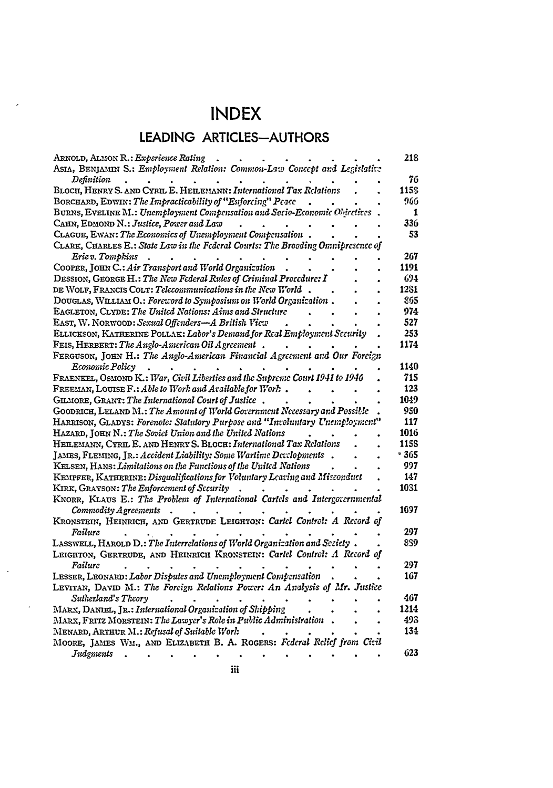## **INDEX**

 $\overline{ }$ 

 $\ddot{\phantom{a}}$ 

 $\ddot{\phantom{a}}$ 

## **LEADING ARTICLES-AUTHORS**

| ARNOLD, ALMON R.: Experience Rating                                              |  | <b>21S</b> |
|----------------------------------------------------------------------------------|--|------------|
| ASIA, BENJAMIN S.: Employment Relation: Common-Law Concept and Legislative       |  |            |
| Definition                                                                       |  | 76         |
| BLOCH, HENRY S. AND CYRIL E. HEILEMANN: International Tax Relations              |  | 115S       |
| BORCHARD, EDWIN: The Impracticability of "Enforcing" Peace                       |  | 966        |
| BURNS, EVELINE M.: Unemployment Compensation and Socio-Economic Objectives       |  | 1          |
| CAHN, EDMOND N.: Justice, Power and Law                                          |  | 336        |
| CLAGUE, EWAN: The Economics of Unemployment Compensation.                        |  | 53         |
| CLARK, CHARLES E.: State Law in the Federal Courts: The Brooding Omnipresence of |  |            |
| Erie v. Tompkins                                                                 |  | 267        |
| COOPER, JOHN C.: Air Transport and World Organization                            |  | 1191       |
| DESSION, GEORGE H.: The New Federal Rules of Criminal Procedure: I               |  | 694        |
| DE WOLF, FRANCIS COLT: Telecommunications in the New World.                      |  | 1281       |
| DOUGLAS, WILLIAM O.: Foreword to Symposium on World Organization.                |  | 865        |
| EAGLETON, CLYDE: The United Nations: Aims and Structure                          |  | 974        |
| EAST, W. NORWOOD: Sexual Offenders-A British View                                |  | 527        |
| ELLICKSON, KATHERINE POLLAK: Labor's Demand for Real Employment Security         |  | 253        |
| FEIS, HERBERT: The Anglo-American Oil Agreement.                                 |  | 1174       |
|                                                                                  |  |            |
| FERGUSON, JOHN H.: The Anglo-American Financial Agreement and Our Forcign        |  | 1140       |
| Economic Policy                                                                  |  |            |
| FRAENKEL, OSMOND K.: War, Civil Liberties and the Supreme Court 1941 to 1946     |  | 715        |
| FREEMAN, LOUISE F.: Able to Work and Available for Work.                         |  | 123        |
| GILMORE, GRANT: The International Court of Justice.                              |  | 1049       |
| GOODRICH, LELAND M.: The Amount of World Government Necessary and Possible       |  | 950        |
| HARRISON, GLADYS: Forenote: Statutory Purpose and "Involuntary Unemployment"     |  | 117        |
| HAZARD, JOHN N.: The Soviet Union and the United Nations                         |  | 1016       |
| HEILEMANN, CYRIL E. AND HENRY S. BLOCH: International Tax Relations              |  | 1158       |
| JAMES, FLEMING, JR.: Accident Liability: Some Wartime Developments.              |  | - 365      |
| KELSEN, HANS: Limitations on the Functions of the United Nations                 |  | 997        |
| KEMPFER, KATHERINE: Disqualifications for Voluntary Leaving and Misconduct       |  | 147        |
| KIRK, GRAYSON: The Enforcement of Security                                       |  | 1031       |
| KNORR, KLAUS E.: The Problem of International Cartels and Intergovernmental      |  |            |
| Commodity Agreements<br>$\overline{\phantom{a}}$<br>$\bullet$                    |  | 1697       |
| KRONSTEIN, HEINRICH, AND GERTRUDE LEIGHTON: Carlel Control: A Record of          |  |            |
| Failure                                                                          |  | 297        |
| LASSWELL, HAROLD D.: The Interrelations of World Organization and Seciety.       |  | 859        |
| LEIGHTON, GERTRUDE, AND HEINRICH KRONSTEIN: Carlel Control: A Record of          |  |            |
| Failure                                                                          |  | 297        |
| LESSER, LEONARD: Labor Disputes and Unemployment Compensation                    |  | 167        |
| LEVITAN, DAVID M.: The Foreign Relations Power: An Analysis of Mr. Justice       |  |            |
| Sutherland's Theory                                                              |  | 467        |
| MARX, DANIEL, JR.: International Organization of Shipping                        |  | 1214       |
| MARX, FRITZ MORSTEIN: The Lawyer's Role in Public Administration.                |  | 493        |
| MENARD, ARTHUR M.: Refusal of Suitable Work                                      |  | 134        |
| MOORE, JAMES WM., AND ELIZABETH B. A. ROGERS: Federal Relief from Civil          |  |            |
| Judements                                                                        |  | 623        |
|                                                                                  |  |            |